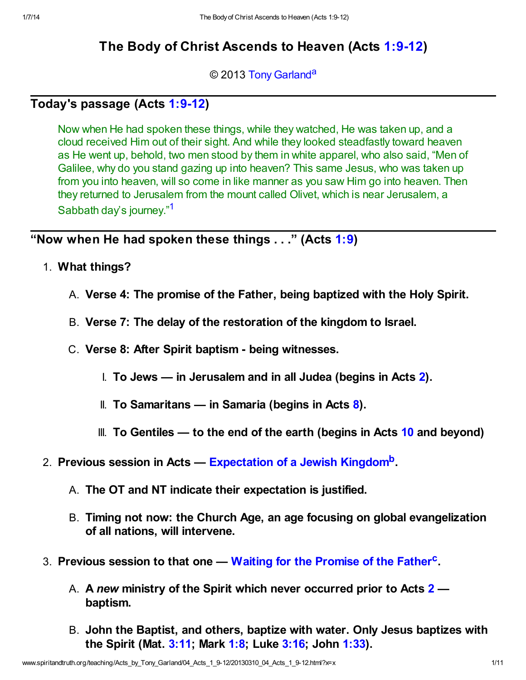# The Body of Christ Ascends to Heaven (Acts [1:9-12\)](http://www.spiritandtruth.org/bibles/nasb/b44c001.htm#Acts_C1V9)

<span id="page-0-1"></span>© 2013 [Tony Garland](http://www.spiritandtruth.org/id/tg.htm)<sup>[a](#page-9-0)</sup>

## Today's passage (Acts [1:9-12\)](http://www.spiritandtruth.org/bibles/nasb/b44c001.htm#Acts_C1V9)

<span id="page-0-0"></span>Now when He had spoken these things, while they watched, He was taken up, and a cloud received Him out of their sight. And while they looked steadfastly toward heaven as He went up, behold, two men stood by them in white apparel, who also said, "Men of Galilee, why do you stand gazing up into heaven? This same Jesus, who was taken up from you into heaven, will so come in like manner as you saw Him go into heaven. Then they returned to Jerusalem from the mount called Olivet, which is near Jerusalem, a Sabbath day's journey."[1](#page-9-1)

"Now when He had spoken these things  $\dots$ " (Acts [1:9\)](http://www.spiritandtruth.org/bibles/nasb/b44c001.htm#Acts_C1V9)

- 1. What things?
	- A. Verse 4: The promise of the Father, being baptized with the Holy Spirit.
	- B. Verse 7: The delay of the restoration of the kingdom to Israel.
	- C. Verse 8: After Spirit baptism being witnesses.
		- I. To Jews in Jerusalem and in all Judea (begins in Acts  $2$ ).
		- II. To Samaritans in Samaria (begins in Acts  $\delta$ ).
		- III. To Gentiles  $-$  to the end of the earth (begins in Acts [10](http://www.spiritandtruth.org/bibles/nasb/b44c010.htm#Acts_C10V1) and beyond)
- <span id="page-0-2"></span>2. Previous session in Acts — [Expectation of a Jewish Kingdom](http://www.spiritandtruth.org/teaching/39-03)<sup>[b](#page-9-2)</sup>.
	- A. The OT and NT indicate their expectation is justified.
	- B. Timing not now: the Church Age, an age focusing on global evangelization of all nations, will intervene.
- <span id="page-0-3"></span>3. Previous session to that one — [Waiting for the Promise of the Father](http://www.spiritandtruth.org/teaching/39-02.htm)<sup>[c](#page-10-0)</sup>.
	- A. A new ministry of the Spirit which never occurred prior to Acts [2](http://www.spiritandtruth.org/bibles/nasb/b44c002.htm#Acts_C2V1)  baptism.
	- B. John the Baptist, and others, baptize with water. Only Jesus baptizes with the Spirit (Mat. [3:11;](http://www.spiritandtruth.org/bibles/nasb/b40c003.htm#Mat._C3V11) Mark [1:8](http://www.spiritandtruth.org/bibles/nasb/b41c001.htm#Mark_C1V8); Luke [3:16;](http://www.spiritandtruth.org/bibles/nasb/b42c003.htm#Luke_C3V16) John [1:33](http://www.spiritandtruth.org/bibles/nasb/b43c001.htm#John_C1V33)).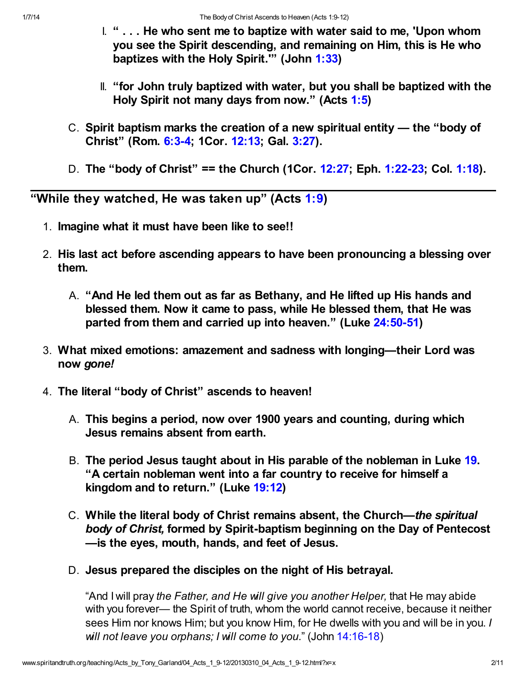- I. " . . . He who sent me to baptize with water said to me, 'Upon whom you see the Spirit descending, and remaining on Him, this is He who baptizes with the Holy Spirit.'" (John [1:33](http://www.spiritandtruth.org/bibles/nasb/b43c001.htm#John_C1V33))
- II. "for John truly baptized with water, but you shall be baptized with the Holy Spirit not many days from now." (Acts [1:5\)](http://www.spiritandtruth.org/bibles/nasb/b44c001.htm#Acts_C1V5)
- C. Spirit baptism marks the creation of a new spiritual entity the "body of Christ" (Rom. [6:3-4](http://www.spiritandtruth.org/bibles/nasb/b45c006.htm#Rom._C6V3); 1Cor. [12:13;](http://www.spiritandtruth.org/bibles/nasb/b46c012.htm#1Cor._C12V13) Gal. [3:27\)](http://www.spiritandtruth.org/bibles/nasb/b48c003.htm#Gal._C3V27).
- D. The "body of Christ" == the Church (1Cor. [12:27](http://www.spiritandtruth.org/bibles/nasb/b46c012.htm#1Cor._C12V27); Eph. [1:22-23;](http://www.spiritandtruth.org/bibles/nasb/b49c001.htm#Eph._C1V22) Col. [1:18\)](http://www.spiritandtruth.org/bibles/nasb/b51c001.htm#Col._C1V18).

"While they watched, He was taken up" (Acts  $1:9$ )

- 1. Imagine what it must have been like to see!!
- 2. His last act before ascending appears to have been pronouncing a blessing over them.
	- A. "And He led them out as far as Bethany, and He lifted up His hands and blessed them. Now it came to pass, while He blessed them, that He was parted from them and carried up into heaven." (Luke [24:50-51\)](http://www.spiritandtruth.org/bibles/nasb/b42c024.htm#Luke_C24V50)
- 3. What mixed emotions: amazement and sadness with longing—their Lord was now gone!
- 4. The literal "body of Christ" ascends to heaven!
	- A. This begins a period, now over 1900 years and counting, during which Jesus remains absent from earth.
	- B. The period Jesus taught about in His parable of the nobleman in Luke [19](http://www.spiritandtruth.org/bibles/nasb/b42c019.htm#Luke_C19V1). "A certain nobleman went into a far country to receive for himself a kingdom and to return." (Luke [19:12\)](http://www.spiritandtruth.org/bibles/nasb/b42c019.htm#Luke_C19V12)
	- C. While the literal body of Christ remains absent, the Church—the spiritual body of Christ, formed by Spirit-baptism beginning on the Day of Pentecost —is the eyes, mouth, hands, and feet of Jesus.
	- D. Jesus prepared the disciples on the night of His betrayal.

"And I will pray the Father, and He will give you another Helper, that He may abide with you forever— the Spirit of truth, whom the world cannot receive, because it neither sees Him nor knows Him; but you know Him, for He dwells with you and will be in you. I will not leave you orphans; I will come to you." (John [14:16-18](http://www.spiritandtruth.org/bibles/nasb/b43c014.htm#John_C14V16))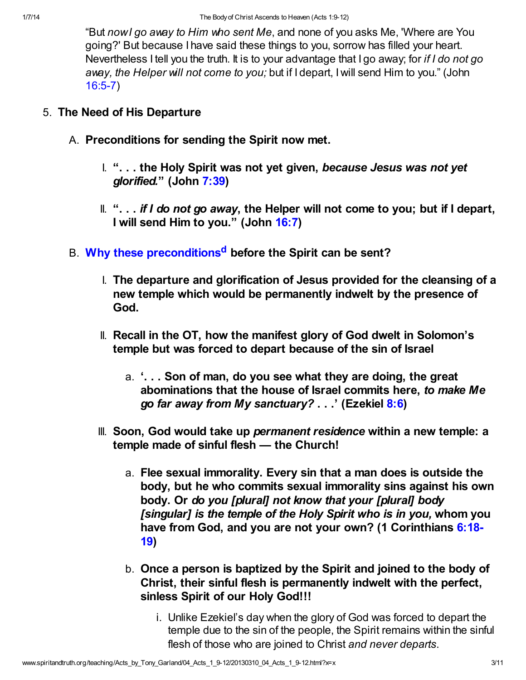"But now I go away to Him who sent Me, and none of you asks Me, 'Where are You going?' But because I have said these things to you, sorrow has filled your heart. Nevertheless I tell you the truth. It is to your advantage that I go away; for if I do not go away, the Helper will not come to you; but if I depart, I will send Him to you." (John [16:5-7\)](http://www.spiritandtruth.org/bibles/nasb/b43c016.htm#John_C16V5)

#### 5. The Need of His Departure

- A. Preconditions for sending the Spirit now met.
	- I. "... the Holy Spirit was not yet given, because Jesus was not yet glorified." (John [7:39](http://www.spiritandtruth.org/bibles/nasb/b43c007.htm#John_C7V39))
	- $\mathbb{I}$ . "... if I do not go away, the Helper will not come to you; but if I depart, I will send Him to you." (John [16:7\)](http://www.spiritandtruth.org/bibles/nasb/b43c016.htm#John_C16V7)
- <span id="page-2-0"></span>B. [Why these preconditions](http://www.spiritandtruth.org/teaching/10-13.htm)<sup>[d](#page-10-1)</sup> before the Spirit can be sent?
	- I. The departure and glorification of Jesus provided for the cleansing of a new temple which would be permanently indwelt by the presence of God.
	- II. Recall in the OT, how the manifest glory of God dwelt in Solomon's temple but was forced to depart because of the sin of Israel
		- a. '. . . Son of man, do you see what they are doing, the great abominations that the house of Israel commits here, to make Me go far away from My sanctuary? . . .' (Ezekiel [8:6](http://www.spiritandtruth.org/bibles/nasb/b26c008.htm#Eze._C8V6))
	- III. Soon, God would take up *permanent residence* within a new temple: a temple made of sinful flesh — the Church!
		- a. Flee sexual immorality. Every sin that a man does is outside the body, but he who commits sexual immorality sins against his own body. Or do you [plural] not know that your [plural] body [singular] is the temple of the Holy Spirit who is in you, whom you [have from God, and you are not your own? \(1 Corinthians 6:18-](http://www.spiritandtruth.org/bibles/nasb/b46c006.htm#1Cor._C6V18) 19)
		- b. Once a person is baptized by the Spirit and joined to the body of Christ, their sinful flesh is permanently indwelt with the perfect, sinless Spirit of our Holy God!!!
			- i. Unlike Ezekiel's day when the glory of God was forced to depart the temple due to the sin of the people, the Spirit remains within the sinful flesh of those who are joined to Christ and never departs.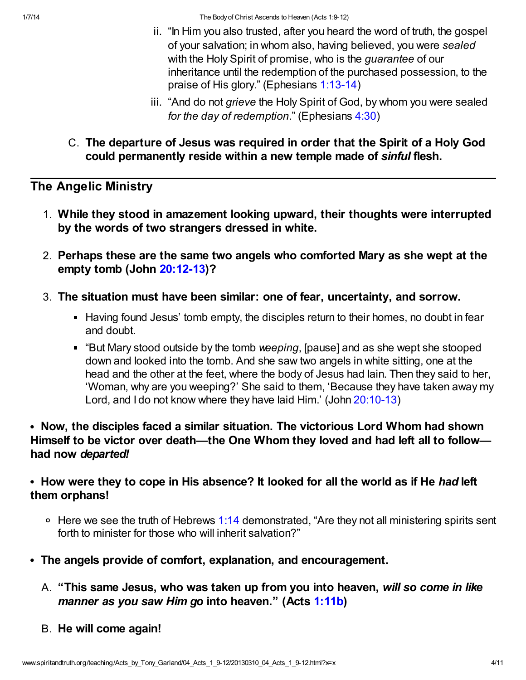1/7/14 The Body of Christ Ascends to Heaven (Acts 1:9-12)

- ii. "In Him you also trusted, after you heard the word of truth, the gospel of your salvation; in whom also, having believed, you were sealed with the Holy Spirit of promise, who is the *quarantee* of our inheritance until the redemption of the purchased possession, to the praise of His glory." (Ephesians [1:13-14\)](http://www.spiritandtruth.org/bibles/nasb/b49c001.htm#Eph._C1V13)
- iii. "And do not grieve the Holy Spirit of God, by whom you were sealed for the day of redemption." (Ephesians [4:30](http://www.spiritandtruth.org/bibles/nasb/b49c004.htm#Eph._C4V30))
- C. The departure of Jesus was required in order that the Spirit of a Holy God could permanently reside within a new temple made of sinful flesh.

## The Angelic Ministry

- 1. While they stood in amazement looking upward, their thoughts were interrupted by the words of two strangers dressed in white.
- 2. Perhaps these are the same two angels who comforted Mary as she wept at the empty tomb (John [20:12-13\)](http://www.spiritandtruth.org/bibles/nasb/b43c020.htm#John_C20V12)?
- 3. The situation must have been similar: one of fear, uncertainty, and sorrow.
	- Having found Jesus' tomb empty, the disciples return to their homes, no doubt in fear and doubt.
	- "But Mary stood outside by the tomb weeping, [pause] and as she wept she stooped down and looked into the tomb. And she saw two angels in white sitting, one at the head and the other at the feet, where the body of Jesus had lain. Then they said to her, 'Woman, why are you weeping?' She said to them, 'Because they have taken away my Lord, and I do not know where they have laid Him.' (John [20:10-13](http://www.spiritandtruth.org/bibles/nasb/b43c020.htm#John_C20V10))
- Now, the disciples faced a similar situation. The victorious Lord Whom had shown Himself to be victor over death—the One Whom they loved and had left all to follow had now departed!

### • How were they to cope in His absence? It looked for all the world as if He had left them orphans!

- $\circ$  Here we see the truth of Hebrews [1:14](http://www.spiritandtruth.org/bibles/nasb/b58c001.htm#Heb._C1V14) demonstrated, "Are they not all ministering spirits sent forth to minister for those who will inherit salvation?"
- The angels provide of comfort, explanation, and encouragement.
	- A. "This same Jesus, who was taken up from you into heaven, will so come in like manner as you saw Him go into heaven." (Acts [1:11b\)](http://www.spiritandtruth.org/bibles/nasb/b44c001.htm#Acts_C1V11)
	- B. He will come again!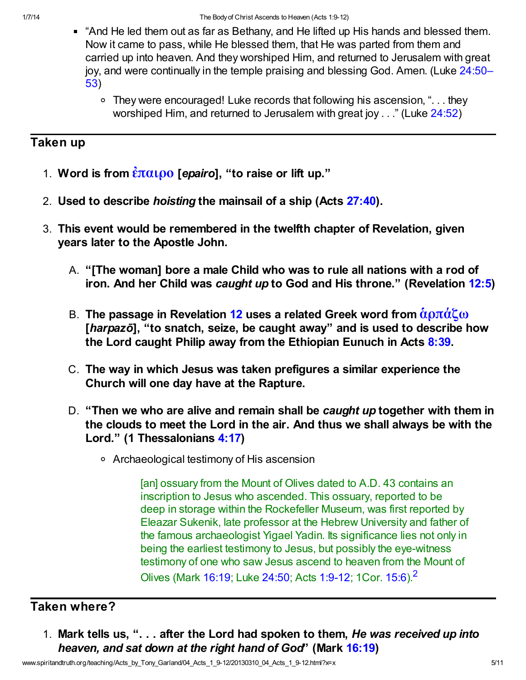- And He led them out as far as Bethany, and He lifted up His hands and blessed them. Now it came to pass, while He blessed them, that He was parted from them and carried up into heaven. And they worshiped Him, and returned to Jerusalem with great [joy, and were continually in the temple praising and blessing God. Amen. \(Luke 24:50–](http://www.spiritandtruth.org/bibles/nasb/b42c024.htm#Luke_C24V50) 53)
	- They were encouraged! Luke records that following his ascension, ". . . they worshiped Him, and returned to Jerusalem with great joy . . ." (Luke [24:52\)](http://www.spiritandtruth.org/bibles/nasb/b42c024.htm#Luke_C24V52)

# Taken up

- 1. Word is from  $\frac{\partial \pi}{\partial \rho}$  [epairo], "to raise or lift up."
- 2. Used to describe hoisting the mainsail of a ship (Acts [27:40](http://www.spiritandtruth.org/bibles/nasb/b44c027.htm#Acts_C27V40)).
- 3. This event would be remembered in the twelfth chapter of Revelation, given years later to the Apostle John.
	- A. "[The woman] bore a male Child who was to rule all nations with a rod of iron. And her Child was caught up to God and His throne." (Revelation [12:5](http://www.spiritandtruth.org/bibles/nasb/b66c012.htm#Rev._C12V5))
	- B. The passage in Revelation [12](http://www.spiritandtruth.org/bibles/nasb/b66c012.htm#Rev._C12V1) uses a related Greek word from  $\alpha$   $\beta$ πάζω [harpazō], "to snatch, seize, be caught away" and is used to describe how the Lord caught Philip away from the Ethiopian Eunuch in Acts  $8:39$ .
	- C. The way in which Jesus was taken prefigures a similar experience the Church will one day have at the Rapture.
	- D. "Then we who are alive and remain shall be caught up together with them in the clouds to meet the Lord in the air. And thus we shall always be with the Lord." (1 Thessalonians [4:17](http://www.spiritandtruth.org/bibles/nasb/b52c004.htm#1Th._C4V17))
		- Archaeological testimony of His ascension

<span id="page-4-0"></span>[an] ossuary from the Mount of Olives dated to A.D. 43 contains an inscription to Jesus who ascended. This ossuary, reported to be deep in storage within the Rockefeller Museum, was first reported by Eleazar Sukenik, late professor at the Hebrew University and father of the famous archaeologist Yigael Yadin. Its significance lies not only in being the earliest testimony to Jesus, but possibly the eye-witness testimony of one who saw Jesus ascend to heaven from the Mount of Olives (Mark [16:19](http://www.spiritandtruth.org/bibles/nasb/b41c016.htm#Mark_C16V19); Luke [24:50](http://www.spiritandtruth.org/bibles/nasb/b42c024.htm#Luke_C24V50); Acts [1:9-12;](http://www.spiritandtruth.org/bibles/nasb/b44c001.htm#Acts_C1V9) 1Cor. [15:6](http://www.spiritandtruth.org/bibles/nasb/b46c015.htm#1Cor._C15V6)).[2](#page-9-3)

# Taken where?

1. Mark tells us, ". . . after the Lord had spoken to them, He was received up into heaven, and sat down at the right hand of God" (Mark [16:19\)](http://www.spiritandtruth.org/bibles/nasb/b41c016.htm#Mark_C16V19)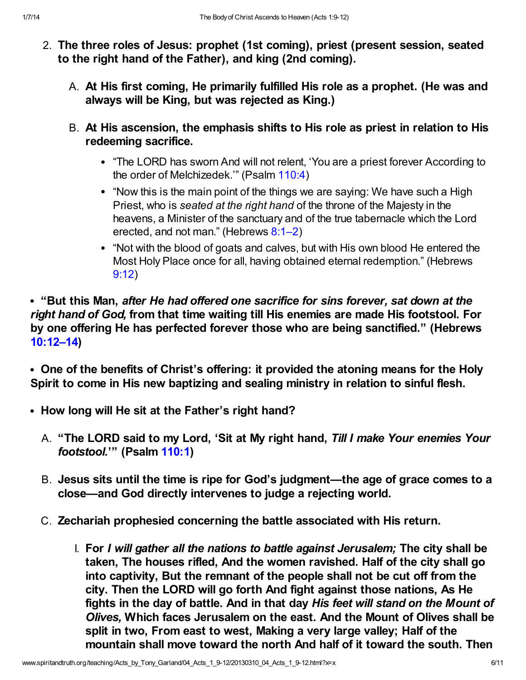- 2. The three roles of Jesus: prophet (1st coming), priest (present session, seated to the right hand of the Father), and king (2nd coming).
	- A. At His first coming, He primarily fulfilled His role as a prophet. (He was and always will be King, but was rejected as King.)
	- B. At His ascension, the emphasis shifts to His role as priest in relation to His redeeming sacrifice.
		- "The LORD has sworn And will not relent, 'You are a priest forever According to the order of Melchizedek.'" (Psalm [110:4\)](http://www.spiritandtruth.org/bibles/nasb/b19c110.htm#Ps._C110V4)
		- "Now this is the main point of the things we are saying: We have such a High Priest, who is seated at the right hand of the throne of the Majesty in the heavens, a Minister of the sanctuary and of the true tabernacle which the Lord erected, and not man." (Hebrews [8:1–2\)](http://www.spiritandtruth.org/bibles/nasb/b58c008.htm#Heb._C8V1)
		- "Not with the blood of goats and calves, but with His own blood He entered the Most Holy Place once for all, having obtained eternal redemption." (Hebrews [9:12](http://www.spiritandtruth.org/bibles/nasb/b58c009.htm#Heb._C9V12))

• "But this Man, after He had offered one sacrifice for sins forever, sat down at the right hand of God, from that time waiting till His enemies are made His footstool. For by one offering He has perfected forever those who are being sanctified." (Hebrews [10:12–14\)](http://www.spiritandtruth.org/bibles/nasb/b58c010.htm#Heb._C10V12)

One of the benefits of Christ's offering: it provided the atoning means for the Holy Spirit to come in His new baptizing and sealing ministry in relation to sinful flesh.

- How long will He sit at the Father's right hand?
	- A. "The LORD said to my Lord, 'Sit at My right hand, Till I make Your enemies Your footstool.'" (Psalm [110:1](http://www.spiritandtruth.org/bibles/nasb/b19c110.htm#Ps._C110V1))
	- B. Jesus sits until the time is ripe for God's judgment—the age of grace comes to a close—and God directly intervenes to judge a rejecting world.
	- C. Zechariah prophesied concerning the battle associated with His return.
		- I. For I will gather all the nations to battle against Jerusalem; The city shall be taken, The houses rifled, And the women ravished. Half of the city shall go into captivity, But the remnant of the people shall not be cut off from the city. Then the LORD will go forth And fight against those nations, As He fights in the day of battle. And in that day His feet will stand on the Mount of Olives, Which faces Jerusalem on the east. And the Mount of Olives shall be split in two, From east to west, Making a very large valley; Half of the mountain shall move toward the north And half of it toward the south. Then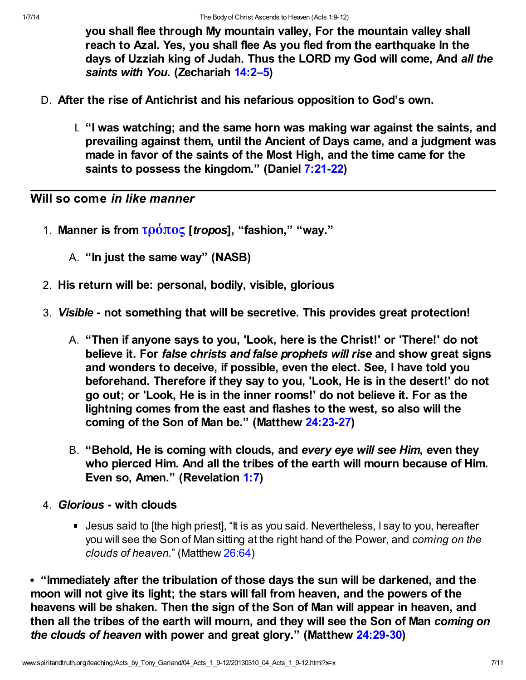you shall flee through My mountain valley, For the mountain valley shall reach to Azal. Yes, you shall flee As you fled from the earthquake In the days of Uzziah king of Judah. Thus the LORD my God will come, And all the saints with You. (Zechariah [14:2–5](http://www.spiritandtruth.org/bibles/nasb/b38c014.htm#Zec._C14V2))

- D. After the rise of Antichrist and his nefarious opposition to God's own.
	- I. "I was watching; and the same horn was making war against the saints, and prevailing against them, until the Ancient of Days came, and a judgment was made in favor of the saints of the Most High, and the time came for the saints to possess the kingdom." (Daniel [7:21-22\)](http://www.spiritandtruth.org/bibles/nasb/b27c007.htm#Dan._C7V21)

### Will so come in like manner

- 1. Manner is from  $\tau \omega \omega \sim$  [*tropos*], "fashion," "way."
	- A. "In just the same way" (NASB)
- 2. His return will be: personal, bodily, visible, glorious
- 3. Visible not something that will be secretive. This provides great protection!
	- A. "Then if anyone says to you, 'Look, here is the Christ!' or 'There!' do not believe it. For false christs and false prophets will rise and show great signs and wonders to deceive, if possible, even the elect. See, I have told you beforehand. Therefore if they say to you, 'Look, He is in the desert!' do not go out; or 'Look, He is in the inner rooms!' do not believe it. For as the lightning comes from the east and flashes to the west, so also will the coming of the Son of Man be." (Matthew [24:23-27\)](http://www.spiritandtruth.org/bibles/nasb/b40c024.htm#Mat._C24V23)
	- B. "Behold, He is coming with clouds, and every eye will see Him, even they who pierced Him. And all the tribes of the earth will mourn because of Him. Even so, Amen." (Revelation [1:7](http://www.spiritandtruth.org/bibles/nasb/b66c001.htm#Rev._C1V7))
- 4. Glorious with clouds
	- Jesus said to [the high priest], "It is as you said. Nevertheless, I say to you, hereafter you will see the Son of Man sitting at the right hand of the Power, and coming on the clouds of heaven." (Matthew [26:64](http://www.spiritandtruth.org/bibles/nasb/b40c026.htm#Mat._C26V64))

"Immediately after the tribulation of those days the sun will be darkened, and the moon will not give its light; the stars will fall from heaven, and the powers of the heavens will be shaken. Then the sign of the Son of Man will appear in heaven, and then all the tribes of the earth will mourn, and they will see the Son of Man coming on the clouds of heaven with power and great glory." (Matthew [24:29-30\)](http://www.spiritandtruth.org/bibles/nasb/b40c024.htm#Mat._C24V29)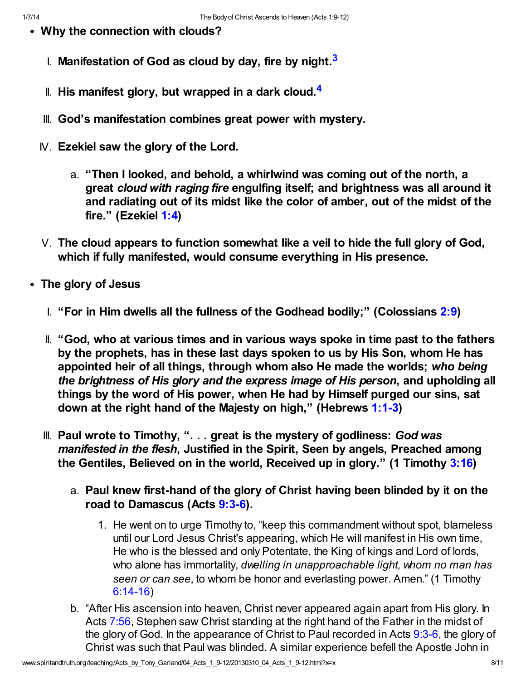- <span id="page-7-1"></span><span id="page-7-0"></span>Why the connection with clouds?
	- $\,$  Manifestation of God as cloud by day, fire by night. $^3$  $^3$
	- II. His manifest glory, but wrapped in a dark cloud. $4$
	- III. God's manifestation combines great power with mystery.
	- IV. Ezekiel saw the glory of the Lord.
		- a. "Then I looked, and behold, a whirlwind was coming out of the north, a great cloud with raging fire engulfing itself; and brightness was all around it and radiating out of its midst like the color of amber, out of the midst of the fire." (Ezekiel [1:4\)](http://www.spiritandtruth.org/bibles/nasb/b26c001.htm#Eze._C1V4)
	- V. The cloud appears to function somewhat like a veil to hide the full glory of God, which if fully manifested, would consume everything in His presence.
- The glory of Jesus
	- I. "For in Him dwells all the fullness of the Godhead bodily;" (Colossians [2:9\)](http://www.spiritandtruth.org/bibles/nasb/b51c002.htm#Col._C2V9)
	- II. "God, who at various times and in various ways spoke in time past to the fathers by the prophets, has in these last days spoken to us by His Son, whom He has appointed heir of all things, through whom also He made the worlds; who being the brightness of His glory and the express image of His person, and upholding all things by the word of His power, when He had by Himself purged our sins, sat down at the right hand of the Majesty on high," (Hebrews [1:1-3\)](http://www.spiritandtruth.org/bibles/nasb/b58c001.htm#Heb._C1V1)
	- III. Paul wrote to Timothy, "... great is the mystery of godliness: God was manifested in the flesh, Justified in the Spirit, Seen by angels, Preached among the Gentiles, Believed on in the world, Received up in glory." (1 Timothy [3:16](http://www.spiritandtruth.org/bibles/nasb/b54c003.htm#1Ti._C3V16))
		- a. Paul knew first-hand of the glory of Christ having been blinded by it on the road to Damascus (Acts [9:3-6](http://www.spiritandtruth.org/bibles/nasb/b44c009.htm#Acts_C9V3)).
			- 1. He went on to urge Timothy to, "keep this commandment without spot, blameless until our Lord Jesus Christ's appearing, which He will manifest in His own time, He who is the blessed and only Potentate, the King of kings and Lord of lords, who alone has immortality, dwelling in unapproachable light, whom no man has seen or can see, to whom be honor and everlasting power. Amen." (1 Timothy [6:14-16\)](http://www.spiritandtruth.org/bibles/nasb/b54c006.htm#1Ti._C6V14)
		- b. "After His ascension into heaven, Christ never appeared again apart from His glory. In Acts [7:56](http://www.spiritandtruth.org/bibles/nasb/b44c007.htm#Acts_C7V56), Stephen saw Christ standing at the right hand of the Father in the midst of the glory of God. In the appearance of Christ to Paul recorded in Acts [9:3-6](http://www.spiritandtruth.org/bibles/nasb/b44c009.htm#Acts_C9V3), the glory of Christ was such that Paul was blinded. A similar experience befell the Apostle John in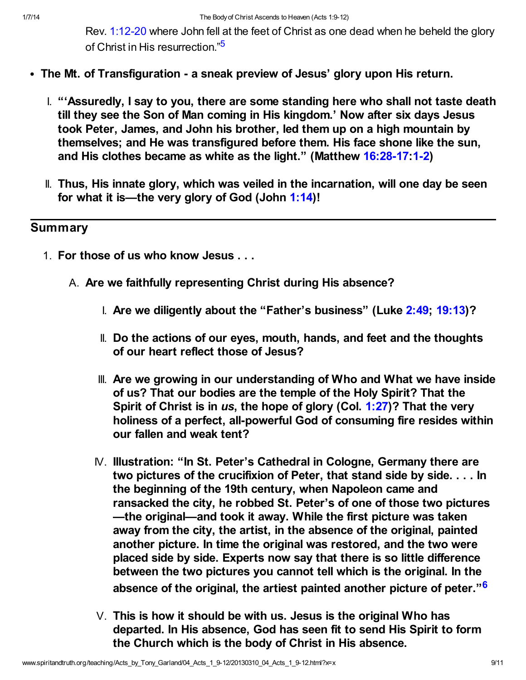<span id="page-8-0"></span>Rev. [1:12-20](http://www.spiritandtruth.org/bibles/nasb/b66c001.htm#Rev._C1V12) where John fell at the feet of Christ as one dead when he beheld the glory of Christ in His resurrection."[5](#page-9-6)

- The Mt. of Transfiguration a sneak preview of Jesus' glory upon His return.
	- I. "'Assuredly, I say to you, there are some standing here who shall not taste death till they see the Son of Man coming in His kingdom.' Now after six days Jesus took Peter, James, and John his brother, led them up on a high mountain by themselves; and He was transfigured before them. His face shone like the sun, and His clothes became as white as the light." (Matthew [16:28-17:](http://www.spiritandtruth.org/bibles/nasb/b40c016.htm#Mat._C16V28)[1-2\)](http://www.spiritandtruth.org/bibles/nasb/b40c016.htm#Mat._C16V1)
	- II. Thus, His innate glory, which was veiled in the incarnation, will one day be seen for what it is—the very glory of God (John [1:14\)](http://www.spiritandtruth.org/bibles/nasb/b43c001.htm#John_C1V14)!

### **Summary**

- <span id="page-8-1"></span>1. For those of us who know Jesus . . .
	- A. Are we faithfully representing Christ during His absence?
		- I. Are we diligently about the "Father's business" (Luke [2:49](http://www.spiritandtruth.org/bibles/nasb/b42c002.htm#Luke_C2V49); [19:13\)](http://www.spiritandtruth.org/bibles/nasb/b42c019.htm#Luke_C19V13)?
		- II. Do the actions of our eyes, mouth, hands, and feet and the thoughts of our heart reflect those of Jesus?
		- III. Are we growing in our understanding of Who and What we have inside of us? That our bodies are the temple of the Holy Spirit? That the Spirit of Christ is in us, the hope of glory (Col. [1:27\)](http://www.spiritandtruth.org/bibles/nasb/b51c001.htm#Col._C1V27)? That the very holiness of a perfect, all-powerful God of consuming fire resides within our fallen and weak tent?
		- IV. Illustration: "In St. Peter's Cathedral in Cologne, Germany there are two pictures of the crucifixion of Peter, that stand side by side. . . . In the beginning of the 19th century, when Napoleon came and ransacked the city, he robbed St. Peter's of one of those two pictures —the original—and took it away. While the first picture was taken away from the city, the artist, in the absence of the original, painted another picture. In time the original was restored, and the two were placed side by side. Experts now say that there is so little difference between the two pictures you cannot tell which is the original. In the absence of the original, the artiest painted another picture of peter."<sup>[6](#page-9-7)</sup>
		- V. This is how it should be with us. Jesus is the original Who has departed. In His absence, God has seen fit to send His Spirit to form the Church which is the body of Christ in His absence.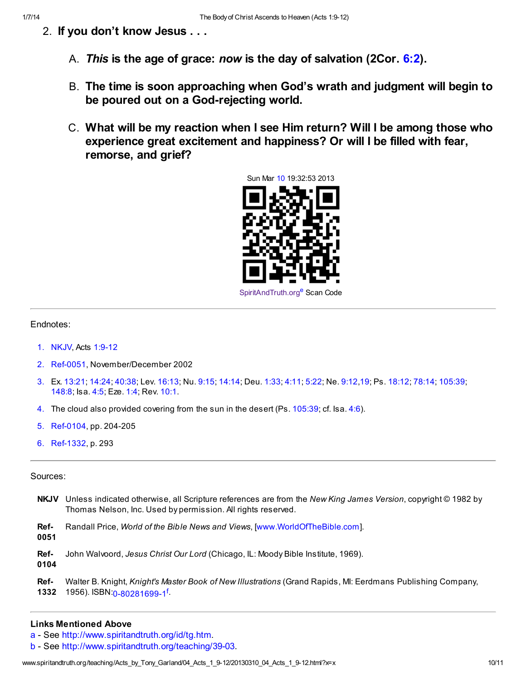- 2. If you don't know Jesus . . .
	- A. This is the age of grace: now is the day of salvation (2Cor.  $6:2$ ).
	- B. The time is soon approaching when God's wrath and judgment will begin to be poured out on a God-rejecting world.
	- C. What will be my reaction when I see Him return? Will I be among those who experience great excitement and happiness? Or will I be filled with fear, remorse, and grief?

<span id="page-9-8"></span>

#### Endnotes:

- <span id="page-9-1"></span>[1.](#page-0-0) NKJV, Acts [1:9-12](http://www.spiritandtruth.org/bibles/nasb/b44c001.htm#Acts_C1V9)
- <span id="page-9-3"></span>[2.](#page-4-0) Ref-0051, November/December 2002
- <span id="page-9-4"></span>[3.](#page-7-0) Ex. [13:21](http://www.spiritandtruth.org/bibles/nasb/b02c013.htm#Ex._C13V21); [14:24](http://www.spiritandtruth.org/bibles/nasb/b02c014.htm#Ex._C14V24); [40:38;](http://www.spiritandtruth.org/bibles/nasb/b02c040.htm#Ex._C40V38) Lev. [16:13](http://www.spiritandtruth.org/bibles/nasb/b03c016.htm#Lev._C16V13); Nu. [9:15](http://www.spiritandtruth.org/bibles/nasb/b04c009.htm#Num._C9V15); [14:14;](http://www.spiritandtruth.org/bibles/nasb/b04c014.htm#Num._C14V14) Deu. [1:33;](http://www.spiritandtruth.org/bibles/nasb/b05c001.htm#Deu._C1V33) [4:11;](http://www.spiritandtruth.org/bibles/nasb/b05c004.htm#Deu._C4V11) [5:22;](http://www.spiritandtruth.org/bibles/nasb/b05c005.htm#Deu._C5V22) Ne. [9:12,](http://www.spiritandtruth.org/bibles/nasb/b16c009.htm#Ne._C9V12)[19](http://www.spiritandtruth.org/bibles/nasb/b16c009.htm#Ne._C9V19); Ps. [18:12;](http://www.spiritandtruth.org/bibles/nasb/b19c018.htm#Ps._C18V12) [78:14](http://www.spiritandtruth.org/bibles/nasb/b19c078.htm#Ps._C78V14); [105:39;](http://www.spiritandtruth.org/bibles/nasb/b19c105.htm#Ps._C105V39) [148:8](http://www.spiritandtruth.org/bibles/nasb/b19c148.htm#Ps._C148V8); Isa. [4:5](http://www.spiritandtruth.org/bibles/nasb/b23c004.htm#Isa._C4V5); Eze. [1:4](http://www.spiritandtruth.org/bibles/nasb/b26c001.htm#Eze._C1V4); Rev. [10:1](http://www.spiritandtruth.org/bibles/nasb/b66c010.htm#Rev._C10V1).
- <span id="page-9-5"></span>[4.](#page-7-1) The cloud also provided covering from the sun in the desert (Ps. [105:39;](http://www.spiritandtruth.org/bibles/nasb/b19c105.htm#Ps._C105V39) cf. Isa. [4:6\)](http://www.spiritandtruth.org/bibles/nasb/b23c004.htm#Isa._C4V6).
- <span id="page-9-6"></span>[5.](#page-8-0) Ref-0104, pp. 204-205
- <span id="page-9-7"></span>[6.](#page-8-1) Ref-1332, p. 293

#### Sources:

- NKJV Unless indicated otherwise, all Scripture references are from the New King James Version, copyright © 1982 by Thomas Nelson, Inc. Used by permission. All rights reserved.
- Ref-Randall Price, World of the Bible News and Views, [\[www.WorldOfTheBible.com](http://www.worldofthebible.com/)].
- 0051

Ref-John Walvoord, Jesus Christ Our Lord (Chicago, IL: Moody Bible Institute, 1969).

0104

<span id="page-9-9"></span>Ref-1332 1956). ISBN:[0-80281699-1](http://www.spiritandtruth.org/id/isbn.htm?0-80281699-1)[f](#page-10-3). Walter B. Knight, Knight's Master Book of New Illustrations (Grand Rapids, MI: Eerdmans Publishing Company,

#### Links Mentioned Above

- <span id="page-9-0"></span>[a](#page-0-1) - See <http://www.spiritandtruth.org/id/tg.htm>.
- <span id="page-9-2"></span>[b](#page-0-2) - See <http://www.spiritandtruth.org/teaching/39-03>.